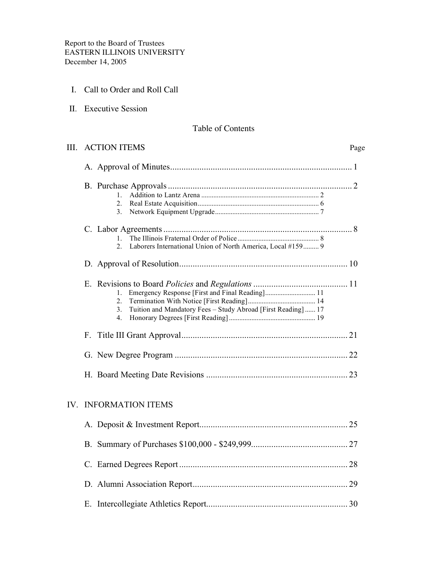- I. Call to Order and Roll Call
- II. Executive Session

## Table of Contents

| III. | <b>ACTION ITEMS</b>                                                                                                                               | Page |
|------|---------------------------------------------------------------------------------------------------------------------------------------------------|------|
|      |                                                                                                                                                   |      |
|      | $1 \quad$<br>$2^{\circ}$<br>$3_{-}$                                                                                                               |      |
|      | $1_{-}$<br>$\mathfrak{L}$<br>Laborers International Union of North America, Local #159 9                                                          |      |
|      |                                                                                                                                                   |      |
|      | Emergency Response [First and Final Reading] 11<br>1.<br>2.<br>Tuition and Mandatory Fees - Study Abroad [First Reading]  17<br>3.<br>$4_{\cdot}$ |      |
|      |                                                                                                                                                   |      |
|      |                                                                                                                                                   |      |
|      |                                                                                                                                                   |      |
|      | <b>IV. INFORMATION ITEMS</b>                                                                                                                      |      |
|      |                                                                                                                                                   |      |
|      |                                                                                                                                                   |      |
|      |                                                                                                                                                   |      |
|      |                                                                                                                                                   |      |
|      |                                                                                                                                                   |      |